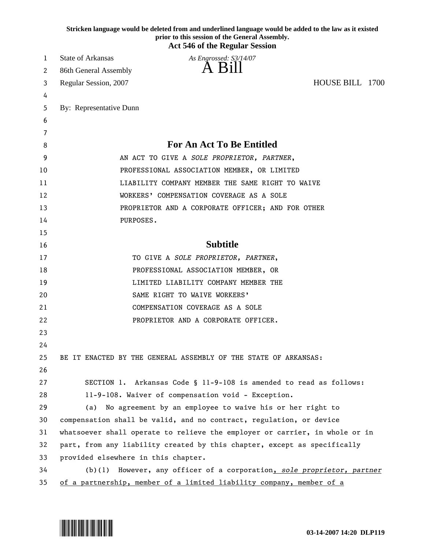|    | Stricken language would be deleted from and underlined language would be added to the law as it existed<br>prior to this session of the General Assembly.<br><b>Act 546 of the Regular Session</b> |
|----|----------------------------------------------------------------------------------------------------------------------------------------------------------------------------------------------------|
| 1  | <b>State of Arkansas</b><br>As Engrossed: S3/14/07                                                                                                                                                 |
| 2  | A Bill<br>86th General Assembly                                                                                                                                                                    |
| 3  | HOUSE BILL 1700<br>Regular Session, 2007                                                                                                                                                           |
| 4  |                                                                                                                                                                                                    |
| 5  | By: Representative Dunn                                                                                                                                                                            |
| 6  |                                                                                                                                                                                                    |
| 7  |                                                                                                                                                                                                    |
| 8  | <b>For An Act To Be Entitled</b>                                                                                                                                                                   |
| 9  | AN ACT TO GIVE A SOLE PROPRIETOR, PARTNER,                                                                                                                                                         |
| 10 | PROFESSIONAL ASSOCIATION MEMBER, OR LIMITED                                                                                                                                                        |
| 11 | LIABILITY COMPANY MEMBER THE SAME RIGHT TO WAIVE                                                                                                                                                   |
| 12 | WORKERS' COMPENSATION COVERAGE AS A SOLE                                                                                                                                                           |
| 13 | PROPRIETOR AND A CORPORATE OFFICER; AND FOR OTHER                                                                                                                                                  |
| 14 | PURPOSES.                                                                                                                                                                                          |
| 15 |                                                                                                                                                                                                    |
| 16 | <b>Subtitle</b>                                                                                                                                                                                    |
| 17 | TO GIVE A SOLE PROPRIETOR, PARTNER,                                                                                                                                                                |
| 18 | PROFESSIONAL ASSOCIATION MEMBER, OR                                                                                                                                                                |
| 19 | LIMITED LIABILITY COMPANY MEMBER THE                                                                                                                                                               |
| 20 | SAME RIGHT TO WAIVE WORKERS'                                                                                                                                                                       |
| 21 | COMPENSATION COVERAGE AS A SOLE                                                                                                                                                                    |
| 22 | PROPRIETOR AND A CORPORATE OFFICER.                                                                                                                                                                |
| 23 |                                                                                                                                                                                                    |
| 24 |                                                                                                                                                                                                    |
| 25 | BE IT ENACTED BY THE GENERAL ASSEMBLY OF THE STATE OF ARKANSAS:                                                                                                                                    |
| 26 |                                                                                                                                                                                                    |
| 27 | SECTION 1. Arkansas Code § 11-9-108 is amended to read as follows:                                                                                                                                 |
| 28 | 11-9-108. Waiver of compensation void - Exception.                                                                                                                                                 |
| 29 | (a) No agreement by an employee to waive his or her right to                                                                                                                                       |
| 30 | compensation shall be valid, and no contract, regulation, or device                                                                                                                                |
| 31 | whatsoever shall operate to relieve the employer or carrier, in whole or in                                                                                                                        |
| 32 | part, from any liability created by this chapter, except as specifically                                                                                                                           |
| 33 | provided elsewhere in this chapter.                                                                                                                                                                |
| 34 | However, any officer of a corporation, sole proprietor, partner<br>(b)(1)                                                                                                                          |
| 35 | of a partnership, member of a limited liability company, member of a                                                                                                                               |

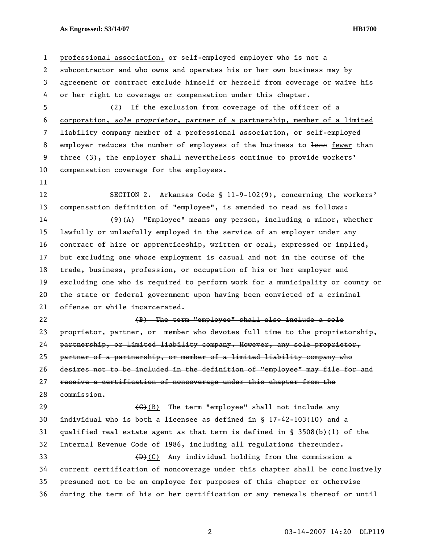## **As Engrossed: S3/14/07 HB1700**

1 professional association, or self-employed employer who is not a 2 subcontractor and who owns and operates his or her own business may by 3 agreement or contract exclude himself or herself from coverage or waive his 4 or her right to coverage or compensation under this chapter. 5 (2) If the exclusion from coverage of the officer of a 6 corporation, *sole proprietor, partner* of a partnership, member of a limited 7 liability company member of a professional association, or self-employed 8 employer reduces the number of employees of the business to less fewer than 9 three (3), the employer shall nevertheless continue to provide workers' 10 compensation coverage for the employees. 11 12 SECTION 2. Arkansas Code § 11-9-102(9), concerning the workers' 13 compensation definition of "employee", is amended to read as follows: 14 (9)(A) "Employee" means any person, including a minor, whether 15 lawfully or unlawfully employed in the service of an employer under any 16 contract of hire or apprenticeship, written or oral, expressed or implied, 17 but excluding one whose employment is casual and not in the course of the 18 trade, business, profession, or occupation of his or her employer and 19 excluding one who is required to perform work for a municipality or county or 20 the state or federal government upon having been convicted of a criminal 21 offense or while incarcerated. 22 (B) The term "employee" shall also include a sole 23 proprietor, partner, or member who devotes full time to the proprietorship, 24 partnership, or limited liability company. However, any sole proprietor, 25 partner of a partnership, or member of a limited liability company who 26 desires not to be included in the definition of "employee" may file for and 27 receive a certification of noncoverage under this chapter from the 28 commission. 29  $\leftarrow$   $\leftarrow$   $\leftarrow$  (B) The term "employee" shall not include any 30 individual who is both a licensee as defined in § 17-42-103(10) and a 31 qualified real estate agent as that term is defined in § 3508(b)(1) of the 32 Internal Revenue Code of 1986, including all regulations thereunder. 33 (D)(C) Any individual holding from the commission a 34 current certification of noncoverage under this chapter shall be conclusively 35 presumed not to be an employee for purposes of this chapter or otherwise 36 during the term of his or her certification or any renewals thereof or until

2 03-14-2007 14:20 DLP119